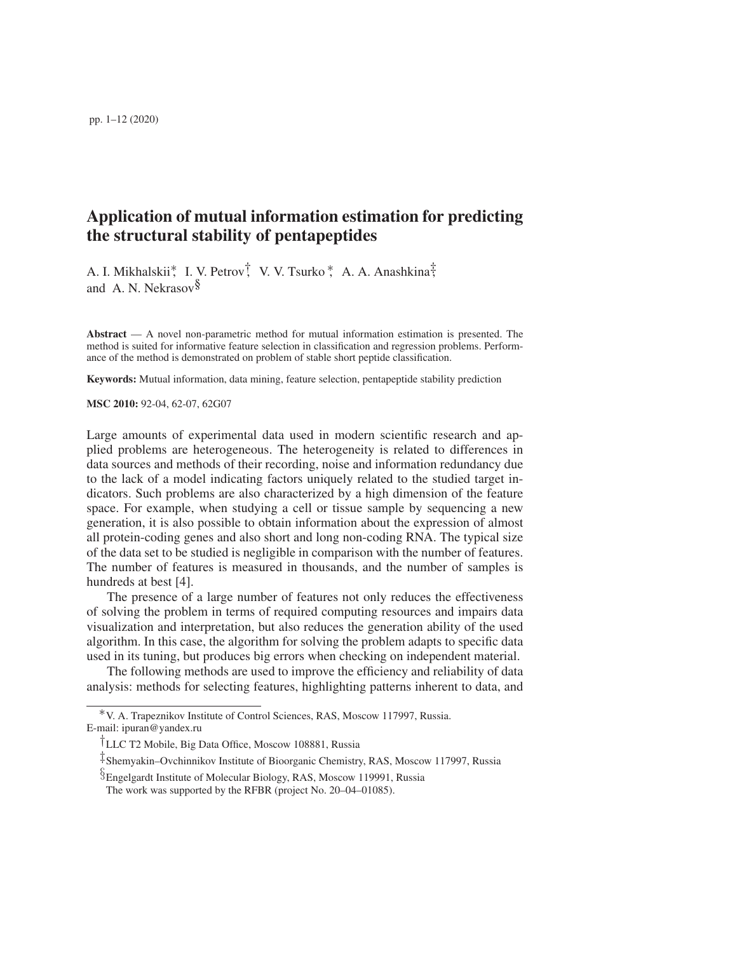# Application of mutual information estimation for predicting the structural stability of pentapeptides

A. I. Mikhalskii∗, I. V. Petrov†, V. V. Tsurko ∗, A. A. Anashkina‡, and A. N. Nekrasov $\delta$ 

Abstract  $-$  A novel non-parametric method for mutual information estimation is presented. The method is suited for informative feature selection in classification and regression problems. Performance of the method is demonstrated on problem of stable short peptide classification.

Keywords: Mutual information, data mining, feature selection, pentapeptide stability prediction

MSC 2010: 92-04, 62-07, 62G07

Large amounts of experimental data used in modern scientific research and applied problems are heterogeneous. The heterogeneity is related to differences in data sources and methods of their recording, noise and information redundancy due to the lack of a model indicating factors uniquely related to the studied target indicators. Such problems are also characterized by a high dimension of the feature space. For example, when studying a cell or tissue sample by sequencing a new generation, it is also possible to obtain information about the expression of almost all protein-coding genes and also short and long non-coding RNA. The typical size of the data set to be studied is negligible in comparison with the number of features. The number of features is measured in thousands, and the number of samples is hundreds at best [4].

The presence of a large number of features not only reduces the effectiveness of solving the problem in terms of required computing resources and impairs data visualization and interpretation, but also reduces the generation ability of the used algorithm. In this case, the algorithm for solving the problem adapts to specific data used in its tuning, but produces big errors when checking on independent material.

The following methods are used to improve the efficiency and reliability of data analysis: methods for selecting features, highlighting patterns inherent to data, and

<sup>∗</sup>V. A. Trapeznikov Institute of Control Sciences, RAS, Moscow 117997, Russia. E-mail: ipuran@yandex.ru

<sup>†</sup>LLC T2 Mobile, Big Data Office, Moscow 108881, Russia

<sup>‡</sup>Shemyakin–Ovchinnikov Institute of Bioorganic Chemistry, RAS, Moscow 117997, Russia

<sup>§</sup>Engelgardt Institute of Molecular Biology, RAS, Moscow 119991, Russia

The work was supported by the RFBR (project No. 20–04–01085).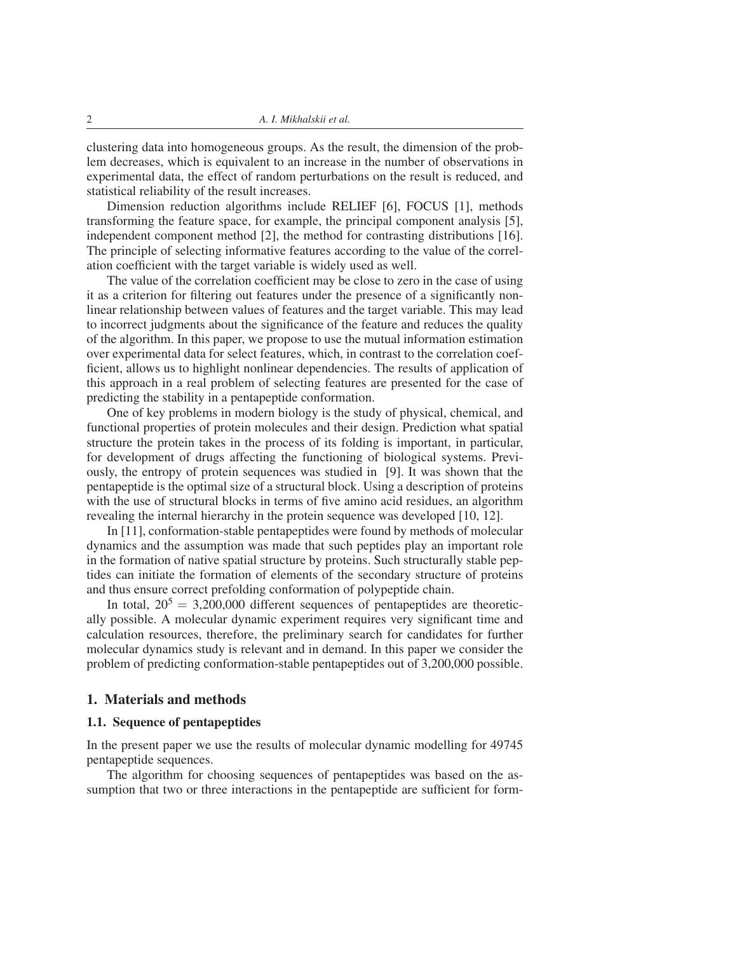clustering data into homogeneous groups. As the result, the dimension of the problem decreases, which is equivalent to an increase in the number of observations in experimental data, the effect of random perturbations on the result is reduced, and statistical reliability of the result increases.

Dimension reduction algorithms include RELIEF [6], FOCUS [1], methods transforming the feature space, for example, the principal component analysis [5], independent component method [2], the method for contrasting distributions [16]. The principle of selecting informative features according to the value of the correlation coefficient with the target variable is widely used as well.

The value of the correlation coefficient may be close to zero in the case of using it as a criterion for filtering out features under the presence of a significantly nonlinear relationship between values of features and the target variable. This may lead to incorrect judgments about the significance of the feature and reduces the quality of the algorithm. In this paper, we propose to use the mutual information estimation over experimental data for select features, which, in contrast to the correlation coefficient, allows us to highlight nonlinear dependencies. The results of application of this approach in a real problem of selecting features are presented for the case of predicting the stability in a pentapeptide conformation.

One of key problems in modern biology is the study of physical, chemical, and functional properties of protein molecules and their design. Prediction what spatial structure the protein takes in the process of its folding is important, in particular, for development of drugs affecting the functioning of biological systems. Previously, the entropy of protein sequences was studied in [9]. It was shown that the pentapeptide is the optimal size of a structural block. Using a description of proteins with the use of structural blocks in terms of five amino acid residues, an algorithm revealing the internal hierarchy in the protein sequence was developed [10, 12].

In [11], conformation-stable pentapeptides were found by methods of molecular dynamics and the assumption was made that such peptides play an important role in the formation of native spatial structure by proteins. Such structurally stable peptides can initiate the formation of elements of the secondary structure of proteins and thus ensure correct prefolding conformation of polypeptide chain.

In total,  $20^5 = 3,200,000$  different sequences of pentapeptides are theoretically possible. A molecular dynamic experiment requires very significant time and calculation resources, therefore, the preliminary search for candidates for further molecular dynamics study is relevant and in demand. In this paper we consider the problem of predicting conformation-stable pentapeptides out of 3,200,000 possible.

#### 1. Materials and methods

### 1.1. Sequence of pentapeptides

In the present paper we use the results of molecular dynamic modelling for 49745 pentapeptide sequences.

The algorithm for choosing sequences of pentapeptides was based on the assumption that two or three interactions in the pentapeptide are sufficient for form-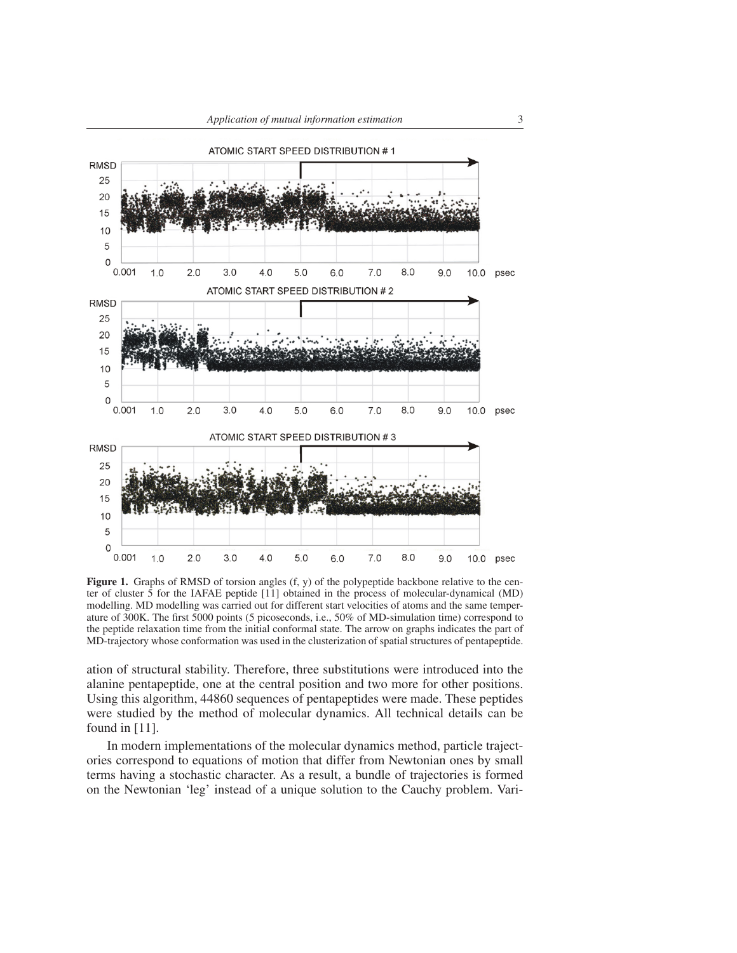

Figure 1. Graphs of RMSD of torsion angles (f, y) of the polypeptide backbone relative to the center of cluster 5 for the IAFAE peptide [11] obtained in the process of molecular-dynamical (MD) modelling. MD modelling was carried out for different start velocities of atoms and the same temperature of 300K. The first 5000 points (5 picoseconds, i.e., 50% of MD-simulation time) correspond to the peptide relaxation time from the initial conformal state. The arrow on graphs indicates the part of MD-trajectory whose conformation was used in the clusterization of spatial structures of pentapeptide.

ation of structural stability. Therefore, three substitutions were introduced into the alanine pentapeptide, one at the central position and two more for other positions. Using this algorithm, 44860 sequences of pentapeptides were made. These peptides were studied by the method of molecular dynamics. All technical details can be found in [11].

In modern implementations of the molecular dynamics method, particle trajectories correspond to equations of motion that differ from Newtonian ones by small terms having a stochastic character. As a result, a bundle of trajectories is formed on the Newtonian 'leg' instead of a unique solution to the Cauchy problem. Vari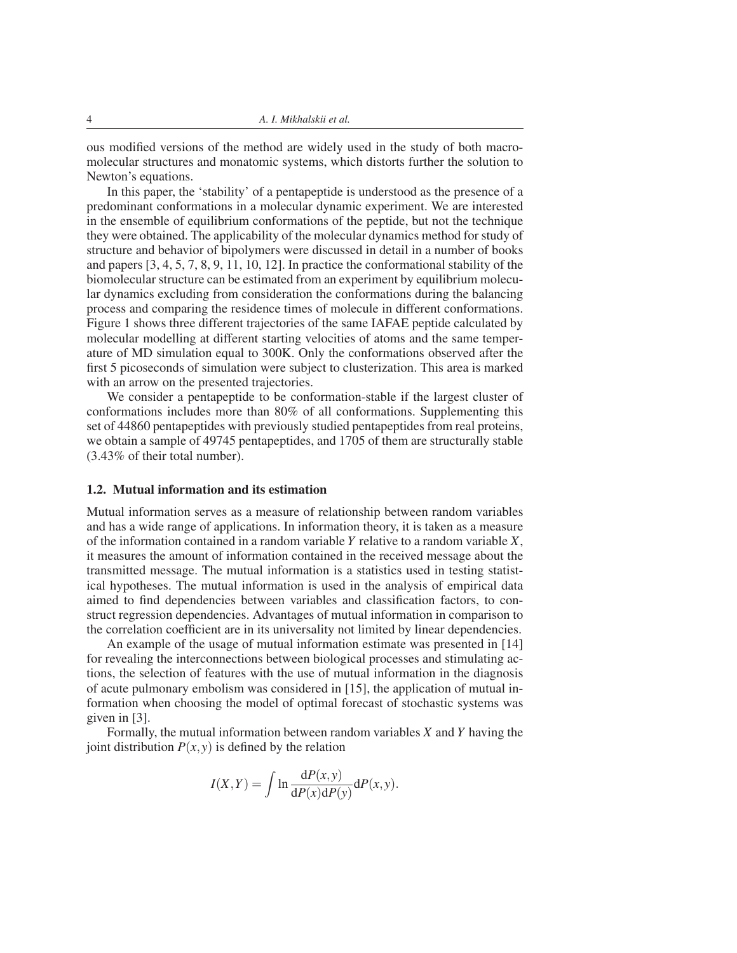ous modified versions of the method are widely used in the study of both macromolecular structures and monatomic systems, which distorts further the solution to Newton's equations.

In this paper, the 'stability' of a pentapeptide is understood as the presence of a predominant conformations in a molecular dynamic experiment. We are interested in the ensemble of equilibrium conformations of the peptide, but not the technique they were obtained. The applicability of the molecular dynamics method for study of structure and behavior of bipolymers were discussed in detail in a number of books and papers [3, 4, 5, 7, 8, 9, 11, 10, 12]. In practice the conformational stability of the biomolecular structure can be estimated from an experiment by equilibrium molecular dynamics excluding from consideration the conformations during the balancing process and comparing the residence times of molecule in different conformations. Figure 1 shows three different trajectories of the same IAFAE peptide calculated by molecular modelling at different starting velocities of atoms and the same temperature of MD simulation equal to 300K. Only the conformations observed after the first 5 picoseconds of simulation were subject to clusterization. This area is marked with an arrow on the presented trajectories.

We consider a pentapeptide to be conformation-stable if the largest cluster of conformations includes more than 80% of all conformations. Supplementing this set of 44860 pentapeptides with previously studied pentapeptides from real proteins, we obtain a sample of 49745 pentapeptides, and 1705 of them are structurally stable (3.43% of their total number).

#### 1.2. Mutual information and its estimation

Mutual information serves as a measure of relationship between random variables and has a wide range of applications. In information theory, it is taken as a measure of the information contained in a random variable *Y* relative to a random variable *X*, it measures the amount of information contained in the received message about the transmitted message. The mutual information is a statistics used in testing statistical hypotheses. The mutual information is used in the analysis of empirical data aimed to find dependencies between variables and classification factors, to construct regression dependencies. Advantages of mutual information in comparison to the correlation coefficient are in its universality not limited by linear dependencies.

An example of the usage of mutual information estimate was presented in [14] for revealing the interconnections between biological processes and stimulating actions, the selection of features with the use of mutual information in the diagnosis of acute pulmonary embolism was considered in [15], the application of mutual information when choosing the model of optimal forecast of stochastic systems was given in [3].

Formally, the mutual information between random variables *X* and *Y* having the joint distribution  $P(x, y)$  is defined by the relation

$$
I(X,Y) = \int \ln \frac{\mathrm{d}P(x,y)}{\mathrm{d}P(x)\mathrm{d}P(y)} \mathrm{d}P(x,y).
$$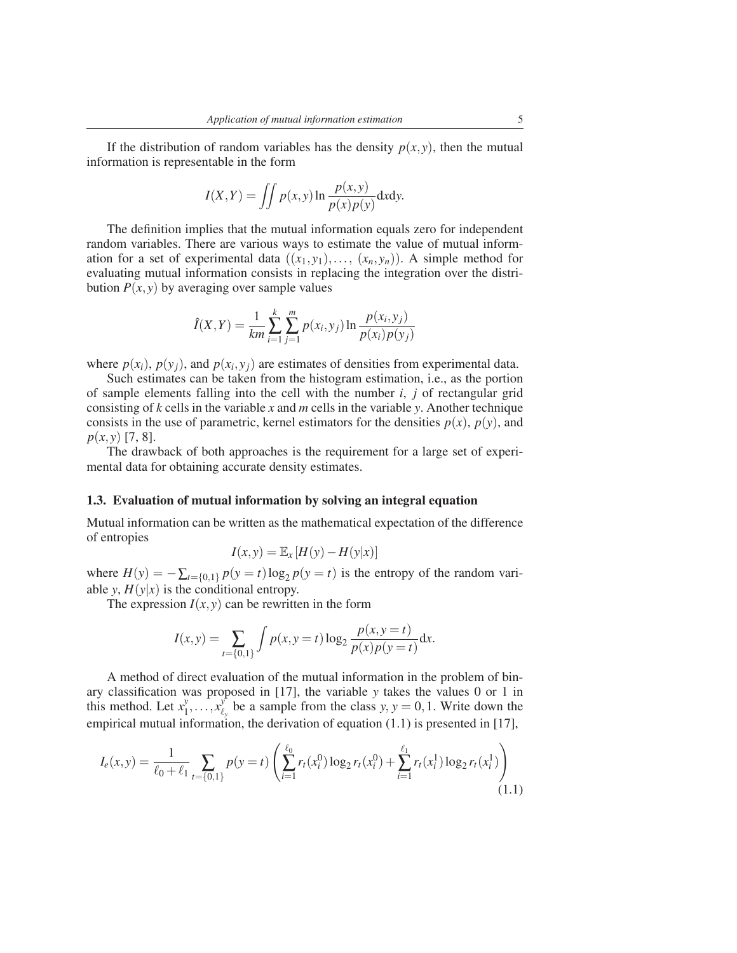If the distribution of random variables has the density  $p(x, y)$ , then the mutual information is representable in the form

$$
I(X,Y) = \iint p(x,y) \ln \frac{p(x,y)}{p(x)p(y)} dxdy.
$$

The definition implies that the mutual information equals zero for independent random variables. There are various ways to estimate the value of mutual information for a set of experimental data  $((x_1, y_1), \ldots, (x_n, y_n))$ . A simple method for evaluating mutual information consists in replacing the integration over the distribution  $P(x, y)$  by averaging over sample values

$$
\hat{I}(X,Y) = \frac{1}{km} \sum_{i=1}^{k} \sum_{j=1}^{m} p(x_i, y_j) \ln \frac{p(x_i, y_j)}{p(x_i) p(y_j)}
$$

where  $p(x_i)$ ,  $p(y_j)$ , and  $p(x_i, y_j)$  are estimates of densities from experimental data.

Such estimates can be taken from the histogram estimation, i.e., as the portion of sample elements falling into the cell with the number *i*, *j* of rectangular grid consisting of *k* cells in the variable *x* and *m* cells in the variable *y*. Another technique consists in the use of parametric, kernel estimators for the densities  $p(x)$ ,  $p(y)$ , and *p*(*x*, *y*) [7, 8].

The drawback of both approaches is the requirement for a large set of experimental data for obtaining accurate density estimates.

#### 1.3. Evaluation of mutual information by solving an integral equation

Mutual information can be written as the mathematical expectation of the difference of entropies

$$
I(x, y) = \mathbb{E}_x [H(y) - H(y|x)]
$$

where  $H(y) = -\sum_{t=\{0,1\}} p(y=t) \log_2 p(y=t)$  is the entropy of the random variable *y*,  $H(y|x)$  is the conditional entropy.

The expression  $I(x, y)$  can be rewritten in the form

$$
I(x,y) = \sum_{t=\{0,1\}} \int p(x,y=t) \log_2 \frac{p(x,y=t)}{p(x)p(y=t)} dx.
$$

A method of direct evaluation of the mutual information in the problem of binary classification was proposed in [17], the variable *y* takes the values 0 or 1 in this method. Let  $x_1^y$  $y_1, \ldots, x_\ell^y$  $\frac{y}{\ell_y}$  be a sample from the class *y*, *y* = 0, 1. Write down the empirical mutual information, the derivation of equation (1.1) is presented in [17],

$$
I_e(x,y) = \frac{1}{\ell_0 + \ell_1} \sum_{t=\{0,1\}} p(y=t) \left( \sum_{i=1}^{\ell_0} r_t(x_i^0) \log_2 r_t(x_i^0) + \sum_{i=1}^{\ell_1} r_t(x_i^1) \log_2 r_t(x_i^1) \right)
$$
(1.1)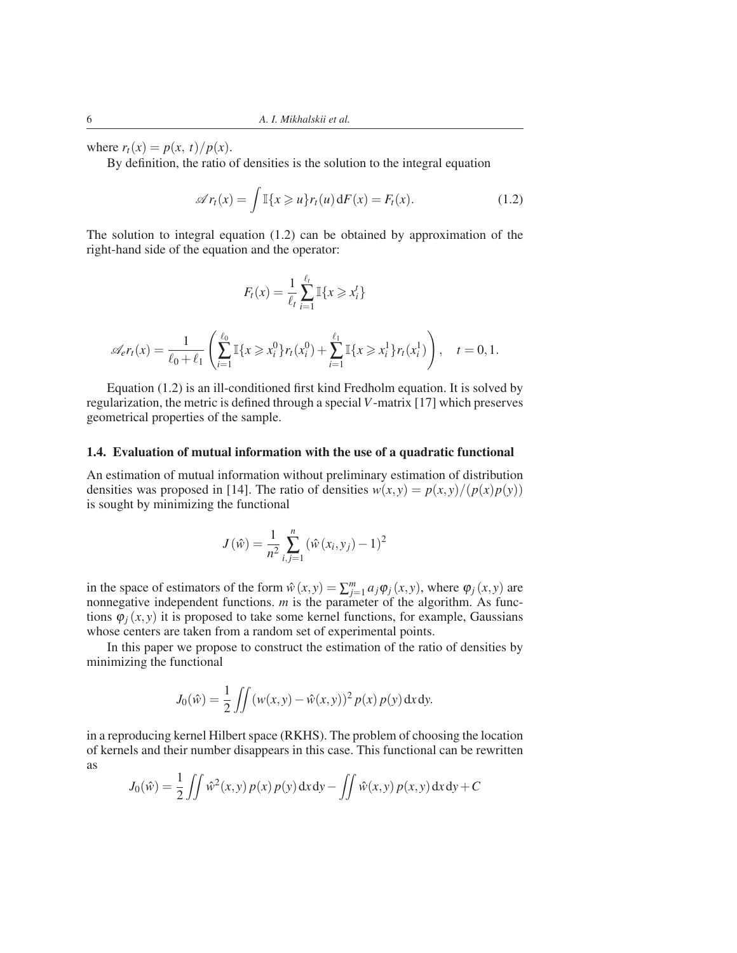where  $r_t(x) = p(x, t)/p(x)$ .

By definition, the ratio of densities is the solution to the integral equation

$$
\mathscr{A}r_t(x) = \int \mathbb{I}\{x \geq u\} r_t(u) dF(x) = F_t(x). \tag{1.2}
$$

The solution to integral equation (1.2) can be obtained by approximation of the right-hand side of the equation and the operator:

$$
F_t(x) = \frac{1}{\ell_t} \sum_{i=1}^{\ell_t} \mathbb{I}\{x \geq x_i^t\}
$$

$$
\mathscr{A}_{e}r_t(x) = \frac{1}{\ell_0 + \ell_1} \left( \sum_{i=1}^{\ell_0} \mathbb{I}\{x \geq x_i^0\} r_t(x_i^0) + \sum_{i=1}^{\ell_1} \mathbb{I}\{x \geq x_i^1\} r_t(x_i^1) \right), \quad t = 0, 1.
$$

Equation (1.2) is an ill-conditioned first kind Fredholm equation. It is solved by regularization, the metric is defined through a special *V*-matrix [17] which preserves geometrical properties of the sample.

### 1.4. Evaluation of mutual information with the use of a quadratic functional

An estimation of mutual information without preliminary estimation of distribution densities was proposed in [14]. The ratio of densities  $w(x, y) = p(x, y)/(p(x)p(y))$ is sought by minimizing the functional

$$
J(\hat{w}) = \frac{1}{n^2} \sum_{i,j=1}^{n} (\hat{w}(x_i, y_j) - 1)^2
$$

in the space of estimators of the form  $\hat{w}(x, y) = \sum_{j=1}^{m} a_j \varphi_j(x, y)$ , where  $\varphi_j(x, y)$  are nonnegative independent functions. *m* is the parameter of the algorithm. As functions  $\varphi_i(x, y)$  it is proposed to take some kernel functions, for example, Gaussians whose centers are taken from a random set of experimental points.

In this paper we propose to construct the estimation of the ratio of densities by minimizing the functional

$$
J_0(\hat{w}) = \frac{1}{2} \iint (w(x, y) - \hat{w}(x, y))^2 p(x) p(y) dx dy.
$$

in a reproducing kernel Hilbert space (RKHS). The problem of choosing the location of kernels and their number disappears in this case. This functional can be rewritten as

$$
J_0(\hat{w}) = \frac{1}{2} \iint \hat{w}^2(x, y) p(x) p(y) dx dy - \iint \hat{w}(x, y) p(x, y) dx dy + C
$$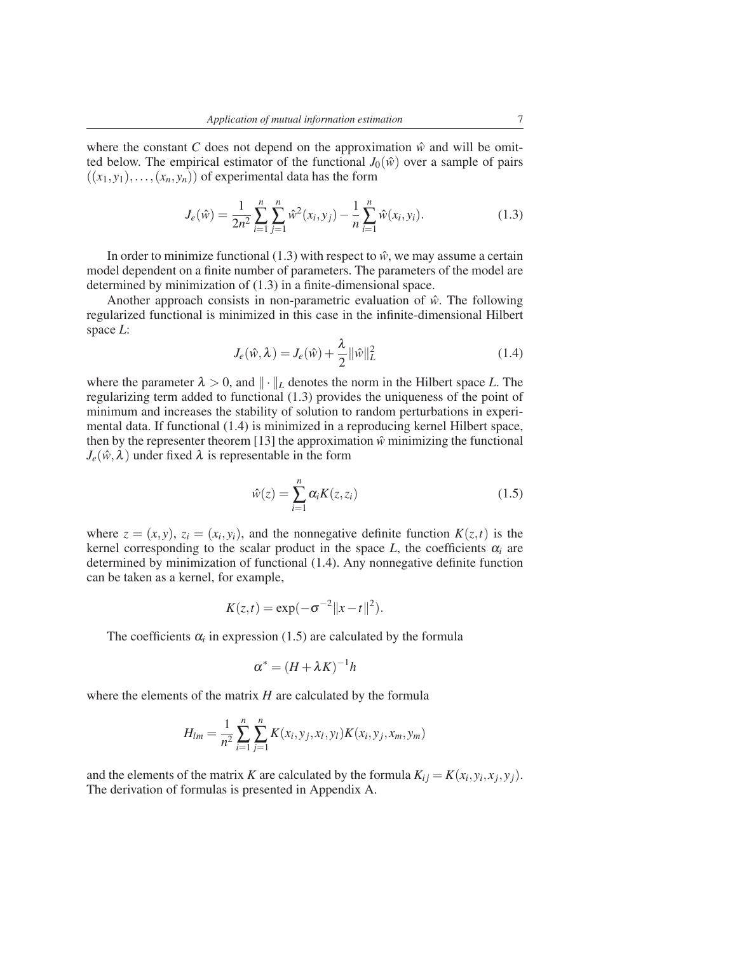where the constant *C* does not depend on the approximation  $\hat{w}$  and will be omitted below. The empirical estimator of the functional  $J_0(\hat{w})$  over a sample of pairs  $((x_1, y_1), \ldots, (x_n, y_n))$  of experimental data has the form

$$
J_e(\hat{w}) = \frac{1}{2n^2} \sum_{i=1}^n \sum_{j=1}^n \hat{w}^2(x_i, y_j) - \frac{1}{n} \sum_{i=1}^n \hat{w}(x_i, y_i).
$$
 (1.3)

In order to minimize functional (1.3) with respect to  $\hat{w}$ , we may assume a certain model dependent on a finite number of parameters. The parameters of the model are determined by minimization of (1.3) in a finite-dimensional space.

Another approach consists in non-parametric evaluation of  $\hat{w}$ . The following regularized functional is minimized in this case in the infinite-dimensional Hilbert space *L*:

$$
J_e(\hat{w}, \lambda) = J_e(\hat{w}) + \frac{\lambda}{2} ||\hat{w}||_L^2
$$
 (1.4)

where the parameter  $\lambda > 0$ , and  $\|\cdot\|_L$  denotes the norm in the Hilbert space *L*. The regularizing term added to functional (1.3) provides the uniqueness of the point of minimum and increases the stability of solution to random perturbations in experimental data. If functional (1.4) is minimized in a reproducing kernel Hilbert space, then by the representer theorem [13] the approximation  $\hat{w}$  minimizing the functional  $J_e(\hat{w}, \lambda)$  under fixed  $\lambda$  is representable in the form

$$
\hat{w}(z) = \sum_{i=1}^{n} \alpha_i K(z, z_i)
$$
\n(1.5)

where  $z = (x, y)$ ,  $z_i = (x_i, y_i)$ , and the nonnegative definite function  $K(z, t)$  is the kernel corresponding to the scalar product in the space  $L$ , the coefficients  $\alpha_i$  are determined by minimization of functional (1.4). Any nonnegative definite function can be taken as a kernel, for example,

$$
K(z,t) = \exp(-\sigma^{-2}||x-t||^2).
$$

The coefficients  $\alpha_i$  in expression (1.5) are calculated by the formula

$$
\alpha^* = (H + \lambda K)^{-1}h
$$

where the elements of the matrix *H* are calculated by the formula

$$
H_{lm} = \frac{1}{n^2} \sum_{i=1}^{n} \sum_{j=1}^{n} K(x_i, y_j, x_l, y_l) K(x_i, y_j, x_m, y_m)
$$

and the elements of the matrix *K* are calculated by the formula  $K_{ij} = K(x_i, y_i, x_j, y_j)$ . The derivation of formulas is presented in Appendix A.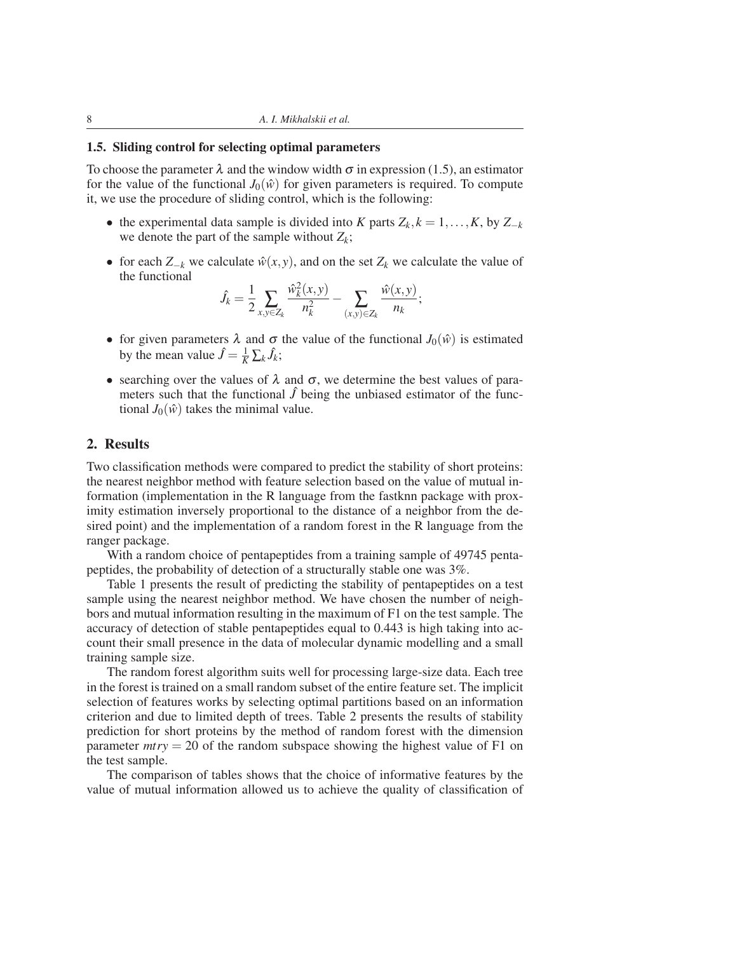#### 1.5. Sliding control for selecting optimal parameters

To choose the parameter  $\lambda$  and the window width  $\sigma$  in expression (1.5), an estimator for the value of the functional  $J_0(\hat{w})$  for given parameters is required. To compute it, we use the procedure of sliding control, which is the following:

- the experimental data sample is divided into *K* parts  $Z_k$ ,  $k = 1, \ldots, K$ , by  $Z_{-k}$ we denote the part of the sample without  $Z_k$ ;
- for each  $Z_{-k}$  we calculate  $\hat{w}(x, y)$ , and on the set  $Z_k$  we calculate the value of the functional

$$
\hat{J}_k = \frac{1}{2} \sum_{x,y \in Z_k} \frac{\hat{w}_k^2(x,y)}{n_k^2} - \sum_{(x,y) \in Z_k} \frac{\hat{w}(x,y)}{n_k};
$$

- for given parameters  $\lambda$  and  $\sigma$  the value of the functional  $J_0(\hat{w})$  is estimated by the mean value  $\hat{J} = \frac{1}{K} \sum_{k} \hat{J}_k$ ;
- searching over the values of  $\lambda$  and  $\sigma$ , we determine the best values of parameters such that the functional  $\hat{J}$  being the unbiased estimator of the functional  $J_0(\hat{w})$  takes the minimal value.

## 2. Results

Two classification methods were compared to predict the stability of short proteins: the nearest neighbor method with feature selection based on the value of mutual information (implementation in the R language from the fastknn package with proximity estimation inversely proportional to the distance of a neighbor from the desired point) and the implementation of a random forest in the R language from the ranger package.

With a random choice of pentapeptides from a training sample of 49745 pentapeptides, the probability of detection of a structurally stable one was 3%.

Table 1 presents the result of predicting the stability of pentapeptides on a test sample using the nearest neighbor method. We have chosen the number of neighbors and mutual information resulting in the maximum of F1 on the test sample. The accuracy of detection of stable pentapeptides equal to 0.443 is high taking into account their small presence in the data of molecular dynamic modelling and a small training sample size.

The random forest algorithm suits well for processing large-size data. Each tree in the forest is trained on a small random subset of the entire feature set. The implicit selection of features works by selecting optimal partitions based on an information criterion and due to limited depth of trees. Table 2 presents the results of stability prediction for short proteins by the method of random forest with the dimension parameter  $mtry = 20$  of the random subspace showing the highest value of F1 on the test sample.

The comparison of tables shows that the choice of informative features by the value of mutual information allowed us to achieve the quality of classification of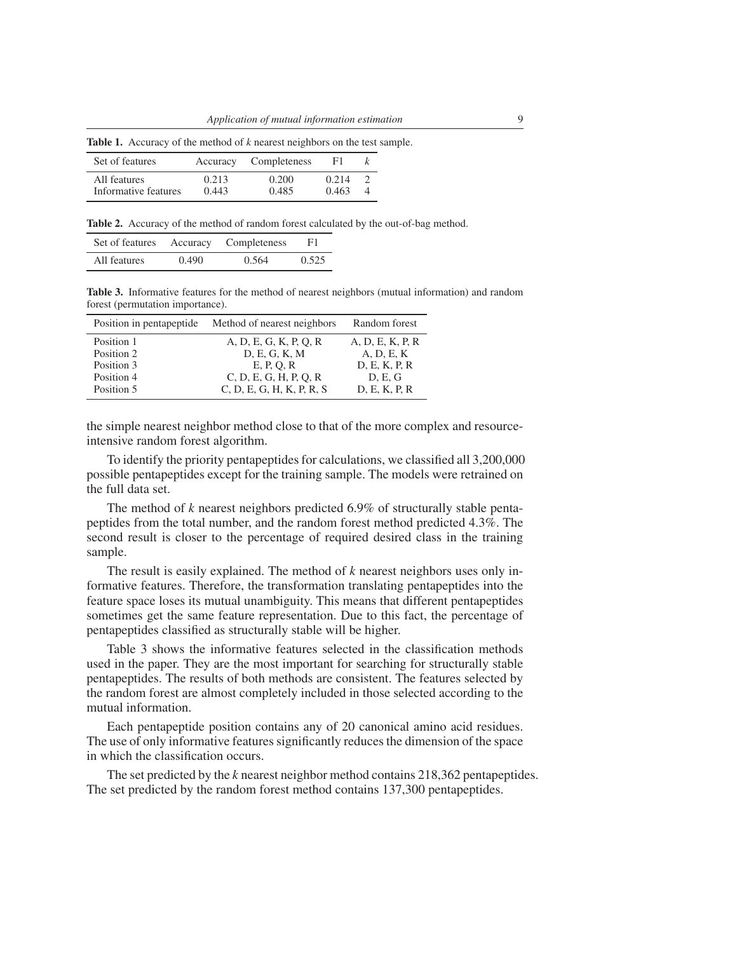| Set of features      |       | Accuracy Completeness | F1.   |  |
|----------------------|-------|-----------------------|-------|--|
| All features         | 0.213 | 0.200                 | 0.214 |  |
| Informative features | 0.443 | 0.485                 | 0.463 |  |

Table 1. Accuracy of the method of *k* nearest neighbors on the test sample.

Table 2. Accuracy of the method of random forest calculated by the out-of-bag method.

| Set of features Accuracy Completeness |       |       | F1    |
|---------------------------------------|-------|-------|-------|
| All features                          | 0.490 | 0.564 | 0.525 |

Table 3. Informative features for the method of nearest neighbors (mutual information) and random forest (permutation importance).

| Position in pentapeptide | Method of nearest neighbors | Random forest    |
|--------------------------|-----------------------------|------------------|
| Position 1               | A, D, E, G, K, P, Q, R      | A, D, E, K, P, R |
| Position 2               | D, E, G, K, M               | A, D, E, K       |
| Position 3               | E, P, O, R                  | D, E, K, P, R    |
| Position 4               | C, D, E, G, H, P, Q, R      | D, E, G          |
| Position 5               | C, D, E, G, H, K, P, R, S   | D, E, K, P, R    |

the simple nearest neighbor method close to that of the more complex and resourceintensive random forest algorithm.

To identify the priority pentapeptides for calculations, we classified all 3,200,000 possible pentapeptides except for the training sample. The models were retrained on the full data set.

The method of *k* nearest neighbors predicted 6.9% of structurally stable pentapeptides from the total number, and the random forest method predicted 4.3%. The second result is closer to the percentage of required desired class in the training sample.

The result is easily explained. The method of *k* nearest neighbors uses only informative features. Therefore, the transformation translating pentapeptides into the feature space loses its mutual unambiguity. This means that different pentapeptides sometimes get the same feature representation. Due to this fact, the percentage of pentapeptides classified as structurally stable will be higher.

Table 3 shows the informative features selected in the classification methods used in the paper. They are the most important for searching for structurally stable pentapeptides. The results of both methods are consistent. The features selected by the random forest are almost completely included in those selected according to the mutual information.

Each pentapeptide position contains any of 20 canonical amino acid residues. The use of only informative features significantly reduces the dimension of the space in which the classification occurs.

The set predicted by the *k* nearest neighbor method contains 218,362 pentapeptides. The set predicted by the random forest method contains 137,300 pentapeptides.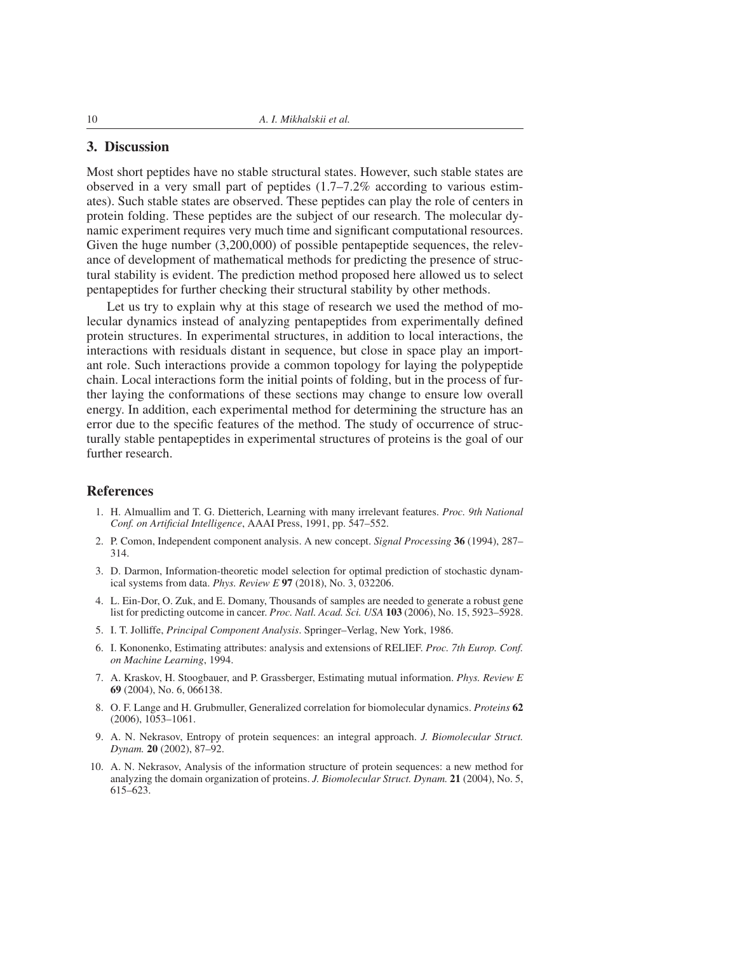## 3. Discussion

Most short peptides have no stable structural states. However, such stable states are observed in a very small part of peptides (1.7–7.2% according to various estimates). Such stable states are observed. These peptides can play the role of centers in protein folding. These peptides are the subject of our research. The molecular dynamic experiment requires very much time and significant computational resources. Given the huge number (3,200,000) of possible pentapeptide sequences, the relevance of development of mathematical methods for predicting the presence of structural stability is evident. The prediction method proposed here allowed us to select pentapeptides for further checking their structural stability by other methods.

Let us try to explain why at this stage of research we used the method of molecular dynamics instead of analyzing pentapeptides from experimentally defined protein structures. In experimental structures, in addition to local interactions, the interactions with residuals distant in sequence, but close in space play an important role. Such interactions provide a common topology for laying the polypeptide chain. Local interactions form the initial points of folding, but in the process of further laying the conformations of these sections may change to ensure low overall energy. In addition, each experimental method for determining the structure has an error due to the specific features of the method. The study of occurrence of structurally stable pentapeptides in experimental structures of proteins is the goal of our further research.

#### References

- 1. H. Almuallim and T. G. Dietterich, Learning with many irrelevant features. *Proc. 9th National Conf. on Artificial Intelligence*, AAAI Press, 1991, pp. 547–552.
- 2. P. Comon, Independent component analysis. A new concept. *Signal Processing* 36 (1994), 287– 314.
- 3. D. Darmon, Information-theoretic model selection for optimal prediction of stochastic dynamical systems from data. *Phys. Review E* 97 (2018), No. 3, 032206.
- 4. L. Ein-Dor, O. Zuk, and E. Domany, Thousands of samples are needed to generate a robust gene list for predicting outcome in cancer. *Proc. Natl. Acad. Sci. USA* 103 (2006), No. 15, 5923–5928.
- 5. I. T. Jolliffe, *Principal Component Analysis*. Springer–Verlag, New York, 1986.
- 6. I. Kononenko, Estimating attributes: analysis and extensions of RELIEF. *Proc. 7th Europ. Conf. on Machine Learning*, 1994.
- 7. A. Kraskov, H. Stoogbauer, and P. Grassberger, Estimating mutual information. *Phys. Review E* 69 (2004), No. 6, 066138.
- 8. O. F. Lange and H. Grubmuller, Generalized correlation for biomolecular dynamics. *Proteins* 62 (2006), 1053–1061.
- 9. A. N. Nekrasov, Entropy of protein sequences: an integral approach. *J. Biomolecular Struct. Dynam.* 20 (2002), 87–92.
- 10. A. N. Nekrasov, Analysis of the information structure of protein sequences: a new method for analyzing the domain organization of proteins. *J. Biomolecular Struct. Dynam.* 21 (2004), No. 5, 615–623.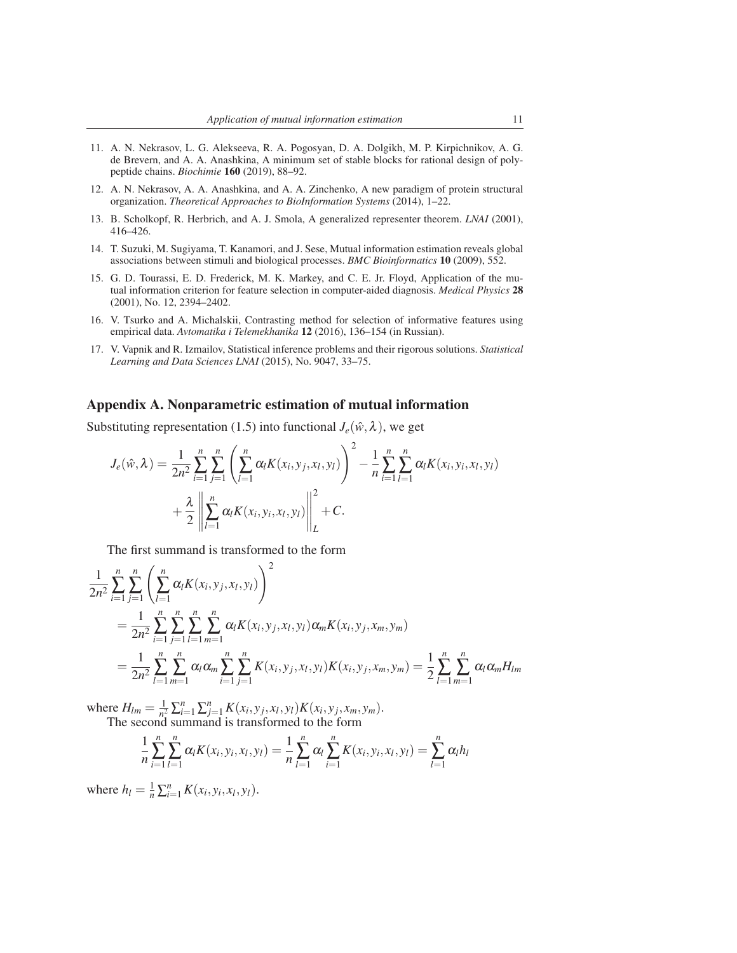- 11. A. N. Nekrasov, L. G. Alekseeva, R. A. Pogosyan, D. A. Dolgikh, M. P. Kirpichnikov, A. G. de Brevern, and A. A. Anashkina, A minimum set of stable blocks for rational design of polypeptide chains. *Biochimie* 160 (2019), 88–92.
- 12. A. N. Nekrasov, A. A. Anashkina, and A. A. Zinchenko, A new paradigm of protein structural organization. *Theoretical Approaches to BioInformation Systems* (2014), 1–22.
- 13. B. Scholkopf, R. Herbrich, and A. J. Smola, A generalized representer theorem. *LNAI* (2001), 416–426.
- 14. T. Suzuki, M. Sugiyama, T. Kanamori, and J. Sese, Mutual information estimation reveals global associations between stimuli and biological processes. *BMC Bioinformatics* 10 (2009), 552.
- 15. G. D. Tourassi, E. D. Frederick, M. K. Markey, and C. E. Jr. Floyd, Application of the mutual information criterion for feature selection in computer-aided diagnosis. *Medical Physics* 28 (2001), No. 12, 2394–2402.
- 16. V. Tsurko and A. Michalskii, Contrasting method for selection of informative features using empirical data. *Avtomatika i Telemekhanika* 12 (2016), 136–154 (in Russian).
- 17. V. Vapnik and R. Izmailov, Statistical inference problems and their rigorous solutions. *Statistical Learning and Data Sciences LNAI* (2015), No. 9047, 33–75.

#### Appendix A. Nonparametric estimation of mutual information

Substituting representation (1.5) into functional  $J_e(\hat{w}, \lambda)$ , we get

$$
J_e(\hat{w}, \lambda) = \frac{1}{2n^2} \sum_{i=1}^n \sum_{j=1}^n \left( \sum_{l=1}^n \alpha_l K(x_i, y_j, x_l, y_l) \right)^2 - \frac{1}{n} \sum_{i=1}^n \sum_{l=1}^n \alpha_l K(x_i, y_i, x_l, y_l) + \frac{\lambda}{2} \left\| \sum_{l=1}^n \alpha_l K(x_i, y_i, x_l, y_l) \right\|_L^2 + C.
$$

The first summand is transformed to the form

$$
\frac{1}{2n^2} \sum_{i=1}^n \sum_{j=1}^n \left( \sum_{l=1}^n \alpha_l K(x_i, y_j, x_l, y_l) \right)^2
$$
\n
$$
= \frac{1}{2n^2} \sum_{i=1}^n \sum_{j=1}^n \sum_{l=1}^n \sum_{m=1}^n \alpha_l K(x_i, y_j, x_l, y_l) \alpha_m K(x_i, y_j, x_m, y_m)
$$
\n
$$
= \frac{1}{2n^2} \sum_{l=1}^n \sum_{m=1}^n \alpha_l \alpha_m \sum_{i=1}^n \sum_{j=1}^n K(x_i, y_j, x_l, y_l) K(x_i, y_j, x_m, y_m) = \frac{1}{2} \sum_{l=1}^n \sum_{m=1}^n \alpha_l \alpha_m H_{lm}
$$

where  $H_{lm} = \frac{1}{n^2}$  $\frac{1}{n^2} \sum_{i=1}^n \sum_{j=1}^n K(x_i, y_j, x_l, y_l) K(x_i, y_j, x_m, y_m).$ The second summand is transformed to the form

$$
\frac{1}{n}\sum_{i=1}^{n}\sum_{l=1}^{n}\alpha_{l}K(x_{i},y_{i},x_{l},y_{l})=\frac{1}{n}\sum_{l=1}^{n}\alpha_{l}\sum_{i=1}^{n}K(x_{i},y_{i},x_{l},y_{l})=\sum_{l=1}^{n}\alpha_{l}h_{l}
$$

where  $h_l = \frac{1}{n} \sum_{i=1}^n K(x_i, y_i, x_l, y_l)$ .